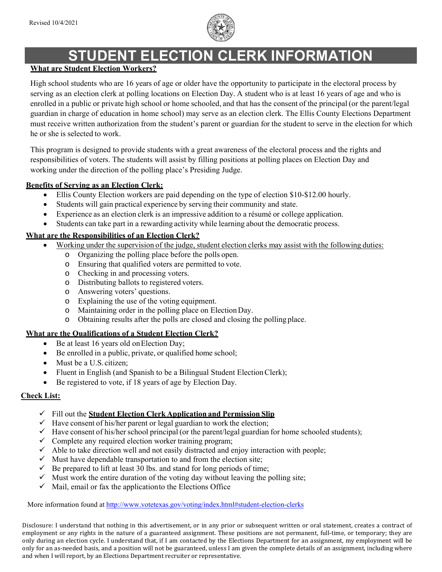

# **STUDENT ELECTION CLERK INFORMATION**

#### **What are Student Election Workers?**

High school students who are 16 years of age or older have the opportunity to participate in the electoral process by serving as an election clerk at polling locations on Election Day. A student who is at least 16 years of age and who is enrolled in a public or private high school or home schooled, and that has the consent of the principal (or the parent/legal guardian in charge of education in home school) may serve as an election clerk. The Ellis County Elections Department must receive written authorization from the student's parent or guardian for the student to serve in the election for which he or she is selected to work.

This program is designed to provide students with a great awareness of the electoral process and the rights and responsibilities of voters. The students will assist by filling positions at polling places on Election Day and working under the direction of the polling place's Presiding Judge.

#### **Benefits of Serving as an Election Clerk:**

- Ellis County Election workers are paid depending on the type of election \$10-\$12.00 hourly.
- Students will gain practical experience by serving their community and state.
- Experience as an election clerk is an impressive addition to a résumé or college application.
- Students can take part in a rewarding activity while learning about the democratic process.

## **What are the Responsibilities of an Election Clerk?**

- Working under the supervision of the judge, student election clerks may assist with the following duties:
	- o Organizing the polling place before the polls open.
	- o Ensuring that qualified voters are permitted to vote.
	- o Checking in and processing voters.
	- o Distributing ballots to registered voters.
	- o Answering voters' questions.
	- o Explaining the use of the voting equipment.
	- o Maintaining order in the polling place on Election Day.
	- o Obtaining results after the polls are closed and closing the polling place.

## **What are the Qualifications of a Student Election Clerk?**

- Be at least 16 years old on Election Day;
- Be enrolled in a public, private, or qualified home school;
- Must be a U.S. citizen:
- Fluent in English (and Spanish to be a Bilingual Student Election Clerk);
- Be registered to vote, if 18 years of age by Election Day.

## **Check List:**

- Fill out the **Student Election Clerk Application and Permission Slip**
- $\checkmark$  Have consent of his/her parent or legal guardian to work the election;
- $\checkmark$  Have consent of his/her school principal (or the parent/legal guardian for home schooled students);
- $\checkmark$  Complete any required election worker training program;
- $\checkmark$  Able to take direction well and not easily distracted and enjoy interaction with people;
- $\checkmark$  Must have dependable transportation to and from the election site;
- $\checkmark$  Be prepared to lift at least 30 lbs. and stand for long periods of time;
- $\checkmark$  Must work the entire duration of the voting day without leaving the polling site;
- $\checkmark$  Mail, email or fax the application to the Elections Office

More information found at http://www.votetexas.gov/voting/index.html#student-election-clerks

Disclosure: I understand that nothing in this advertisement, or in any prior or subsequent written or oral statement, creates a contract of employment or any rights in the nature of a guaranteed assignment. These positions are not permanent, full-time, or temporary; they are only during an election cycle. I understand that, if I am contacted by the Elections Department for an assignment, my employment will be only for an as-needed basis, and a position will not be guaranteed, unless I am given the complete details of an assignment, including where and when I will report, by an Elections Department recruiter or representative.